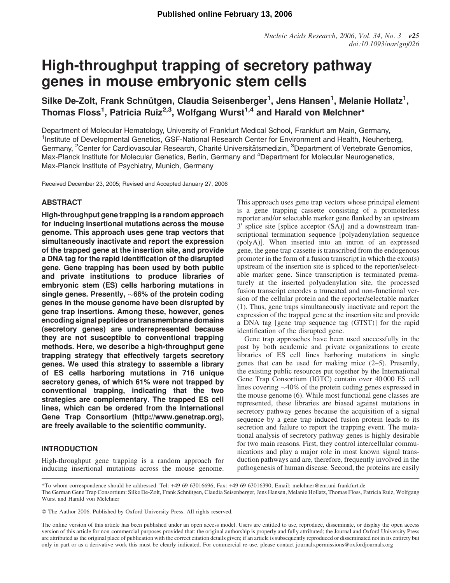# High-throughput trapping of secretory pathway genes in mouse embryonic stem cells

Silke De-Zolt, Frank Schnütgen, Claudia Seisenberger $^1$ , Jens Hansen $^1$ , Melanie Hollatz $^1$ , Thomas Floss<sup>1</sup>, Patricia Ruiz<sup>2,3</sup>, Wolfgang Wurst<sup>1,4</sup> and Harald von Melchner\*

Department of Molecular Hematology, University of Frankfurt Medical School, Frankfurt am Main, Germany, <sup>1</sup>Institute of Developmental Genetics, GSF-National Research Center for Environment and Health, Neuherberg, Germany, <sup>2</sup>Center for Cardiovascular Research, Charité Universitätsmedizin, <sup>3</sup>Department of Vertebrate Genomics, Max-Planck Institute for Molecular Genetics, Berlin, Germany and <sup>4</sup>Department for Molecular Neurogenetics, Max-Planck Institute of Psychiatry, Munich, Germany

Received December 23, 2005; Revised and Accepted January 27, 2006

# ABSTRACT

High-throughput gene trapping is a random approach for inducing insertional mutations across the mouse genome. This approach uses gene trap vectors that simultaneously inactivate and report the expression of the trapped gene at the insertion site, and provide a DNA tag for the rapid identification of the disrupted gene. Gene trapping has been used by both public and private institutions to produce libraries of embryonic stem (ES) cells harboring mutations in single genes. Presently,  $\sim 66\%$  of the protein coding genes in the mouse genome have been disrupted by gene trap insertions. Among these, however, genes encoding signal peptides or transmembrane domains (secretory genes) are underrepresented because they are not susceptible to conventional trapping methods. Here, we describe a high-throughput gene trapping strategy that effectively targets secretory genes. We used this strategy to assemble a library of ES cells harboring mutations in 716 unique secretory genes, of which 61% were not trapped by conventional trapping, indicating that the two strategies are complementary. The trapped ES cell lines, which can be ordered from the International Gene Trap Consortium (<http://www.genetrap.org>), are freely available to the scientific community.

## INTRODUCTION

High-throughput gene trapping is a random approach for inducing insertional mutations across the mouse genome. This approach uses gene trap vectors whose principal element is a gene trapping cassette consisting of a promoterless reporter and/or selectable marker gene flanked by an upstream  $3'$  splice site [splice acceptor  $(SA)$ ] and a downstream transcriptional termination sequence [polyadenylation sequence (polyA)]. When inserted into an intron of an expressed gene, the gene trap cassette is transcribed from the endogenous promoter in the form of a fusion transcript in which the exon(s) upstream of the insertion site is spliced to the reporter/selectable marker gene. Since transcription is terminated prematurely at the inserted polyadenylation site, the processed fusion transcript encodes a truncated and non-functional version of the cellular protein and the reporter/selectable marker (1). Thus, gene traps simultaneously inactivate and report the expression of the trapped gene at the insertion site and provide a DNA tag [gene trap sequence tag (GTST)] for the rapid identification of the disrupted gene.

Gene trap approaches have been used successfully in the past by both academic and private organizations to create libraries of ES cell lines harboring mutations in single genes that can be used for making mice (2–5). Presently, the existing public resources put together by the International Gene Trap Consortium (IGTC) contain over 40 000 ES cell lines covering  $\sim$ 40% of the protein coding genes expressed in the mouse genome (6). While most functional gene classes are represented, these libraries are biased against mutations in secretory pathway genes because the acquisition of a signal sequence by a gene trap induced fusion protein leads to its secretion and failure to report the trapping event. The mutational analysis of secretory pathway genes is highly desirable for two main reasons. First, they control intercellular communications and play a major role in most known signal transduction pathways and are, therefore, frequently involved in the pathogenesis of human disease. Second, the proteins are easily

\*To whom correspondence should be addressed. Tel: +49 69 63016696; Fax: +49 69 63016390; Email: melchner@em.uni-frankfurt.de

The German Gene Trap Consortium: Silke De-Zolt, Frank Schnütgen, Claudia Seisenberger, Jens Hansen, Melanie Hollatz, Thomas Floss, Patricia Ruiz, Wolfgang Wurst and Harald von Melchner

The Author 2006. Published by Oxford University Press. All rights reserved.

The online version of this article has been published under an open access model. Users are entitled to use, reproduce, disseminate, or display the open access version of this article for non-commercial purposes provided that: the original authorship is properly and fully attributed; the Journal and Oxford University Press are attributed as the original place of publication with the correct citation details given; if an article is subsequently reproduced or disseminated not in its entirety but only in part or as a derivative work this must be clearly indicated. For commercial re-use, please contact journals.permissions@oxfordjournals.org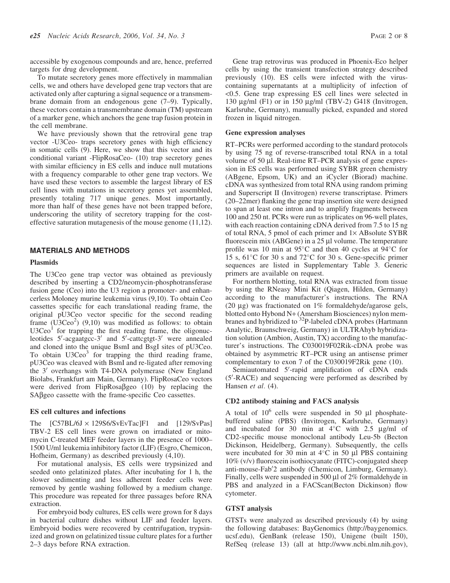accessible by exogenous compounds and are, hence, preferred targets for drug development.

To mutate secretory genes more effectively in mammalian cells, we and others have developed gene trap vectors that are activated only after capturing a signal sequence or a transmembrane domain from an endogenous gene (7–9). Typically, these vectors contain a transmembrane domain (TM) upstream of a marker gene, which anchors the gene trap fusion protein in the cell membrane.

We have previously shown that the retroviral gene trap vector -U3Ceo- traps secretory genes with high efficiency in somatic cells (9). Here, we show that this vector and its conditional variant -FlipRosaCeo- (10) trap secretory genes with similar efficiency in ES cells and induce null mutations with a frequency comparable to other gene trap vectors. We have used these vectors to assemble the largest library of ES cell lines with mutations in secretory genes yet assembled, presently totaling 717 unique genes. Most importantly, more than half of these genes have not been trapped before, underscoring the utility of secretory trapping for the costeffective saturation mutagenesis of the mouse genome (11,12).

## MATERIALS AND METHODS

#### Plasmids

The U3Ceo gene trap vector was obtained as previously described by inserting a CD2/neomycin-phosphotransferase fusion gene (Ceo) into the U3 region a promoter- and enhancerless Moloney murine leukemia virus (9,10). To obtain Ceo cassettes specific for each translational reading frame, the original pU3Ceo vector specific for the second reading frame  $(\overrightarrow{U3C}ee^2)$  (9,10) was modified as follows: to obtain  $U3Ceo<sup>1</sup>$  for trapping the first reading frame, the oligonucleotides 5'-acgaatgcc-3' and 5'-cattcgtgt-3' were annealed and cloned into the unique BsmI and BsgI sites of pU3Ceo. To obtain  $U3Ceo<sup>3</sup>$  for trapping the third reading frame, pU3Ceo was cleaved with BsmI and re-ligated after removing the  $3'$  overhangs with T4-DNA polymerase (New England Biolabs, Frankfurt am Main, Germany). FlipRosaCeo vectors were derived from FlipRosa $\beta$ geo (10) by replacing the  $SA\beta$ geo cassette with the frame-specific Ceo cassettes.

#### ES cell cultures and infections

The  $[C57BL/6J \times 129S6/SvEvTac]F1$  and  $[129/SvPas]$ TBV-2 ES cell lines were grown on irradiated or mitomycin C-treated MEF feeder layers in the presence of 1000– 1500 U/ml leukemia inhibitory factor (LIF) (Esgro, Chemicon, Hofheim, Germany) as described previously (4,10).

For mutational analysis, ES cells were trypsinized and seeded onto gelatinized plates. After incubating for 1 h, the slower sedimenting and less adherent feeder cells were removed by gentle washing followed by a medium change. This procedure was repeated for three passages before RNA extraction.

For embryoid body cultures, ES cells were grown for 8 days in bacterial culture dishes without LIF and feeder layers. Embryoid bodies were recovered by centrifugation, trypsinized and grown on gelatinized tissue culture plates for a further 2–3 days before RNA extraction.

Gene trap retrovirus was produced in Phoenix-Eco helper cells by using the transient transfection strategy described previously (10). ES cells were infected with the viruscontaining supernatants at a multiplicity of infection of <0.5. Gene trap expressing ES cell lines were selected in 130  $\mu$ g/ml (F1) or in 150  $\mu$ g/ml (TBV-2) G418 (Invitrogen, Karlsruhe, Germany), manually picked, expanded and stored frozen in liquid nitrogen.

#### Gene expression analyses

RT–PCRs were performed according to the standard protocols by using 75 ng of reverse-transcribed total RNA in a total volume of 50  $\mu$ l. Real-time RT–PCR analysis of gene expression in ES cells was performed using SYBR green chemistry (ABgene, Epsom, UK) and an iCycler (Biorad) machine. cDNA was synthesized from total RNA using random priming and Superscript II (Invitrogen) reverse transcriptase. Primers (20–22mer) flanking the gene trap insertion site were designed to span at least one intron and to amplify fragments between 100 and 250 nt. PCRs were run as triplicates on 96-well plates, with each reaction containing cDNA derived from 7.5 to 15 ng of total RNA, 5 pmol of each primer and  $1 \times$  ABsolute SYBR fluorescein mix (ABGene) in a  $25 \mu l$  volume. The temperature profile was 10 min at 95 $\degree$ C and then 40 cycles at 94 $\degree$ C for 15 s, 61°C for 30 s and 72°C for 30 s. Gene-specific primer sequences are listed in Supplementary Table 3. Generic primers are available on request.

For northern blotting, total RNA was extracted from tissue by using the RNeasy Mini Kit (Qiagen, Hilden, Germany) according to the manufacturer's instructions. The RNA (20  $\mu$ g) was fractionated on 1% formaldehyde/agarose gels, blotted onto Hybond N+ (Amersham Biosciences) nylon membranes and hybridized to <sup>32</sup>P-labeled cDNA probes (Hartmann Analytic, Braunschweig, Germany) in ULTRAhyb hybridization solution (Ambion, Austin, TX) according to the manufacturer's instructions. The C030019F02Rik-cDNA probe was obtained by asymmetric RT–PCR using an antisense primer complementary to exon 7 of the C030019F2Rik gene (10).

Semiautomated 5'-rapid amplification of cDNA ends (5'-RACE) and sequencing were performed as described by Hansen et al. (4).

## CD2 antibody staining and FACS analysis

A total of  $10^6$  cells were suspended in 50  $\mu$ l phosphatebuffered saline (PBS) (Invitrogen, Karlsruhe, Germany) and incubated for 30 min at  $4^{\circ}$ C with 2.5  $\mu$ g/ml of CD2-specific mouse monoclonal antibody Leu-5b (Becton Dickinson, Heidelberg, Germany). Subsequently, the cells were incubated for 30 min at  $4^{\circ}$ C in 50 µl PBS containing 10% (v/v) fluorescein isothiocyanate (FITC)-conjugated sheep anti-mouse-Fab'2 antibody (Chemicon, Limburg, Germany). Finally, cells were suspended in 500  $\mu$ l of 2% formaldehyde in PBS and analyzed in a FACScan(Becton Dickinson) flow cytometer.

#### GTST analysis

GTSTs were analyzed as described previously (4) by using the following databases: BayGenomics ([http://baygenomics.](http://baygenomics) ucsf.edu), GenBank (release 150), Unigene (built 150), RefSeq (release 13) (all at<http://www.ncbi.nlm.nih.gov>),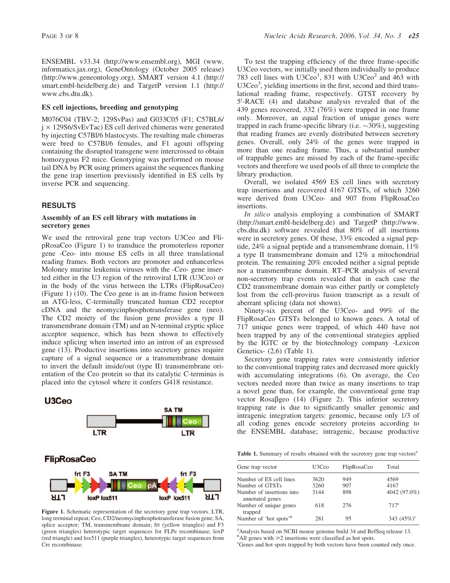ENSEMBL v33.34 (<http://www.ensembl.org>), MGI (www. informatics.jax.org), GeneOntology (October 2005 release) [\(http://www.geneontology.org](http://www.geneontology.org)), SMART version 4.1 (<http://> smart.embl-heidelberg.de) and TargetP version 1.1 (<http://> www.cbs.dtu.dk).

## ES cell injections, breeding and genotyping

M076C04 (TBV-2; 129SvPas) and G033C05 (F1; C57BL6/  $j \times 129S6/SvEvTac$ ) ES cell derived chimeras were generated by injecting C57Bl/6 blastocysts. The resulting male chimeras were bred to C57Bl/6 females, and F1 agouti offspring containing the disrupted transgene were intercrossed to obtain homozygous F2 mice. Genotyping was performed on mouse tail DNA by PCR using primers against the sequences flanking the gene trap insertion previously identified in ES cells by inverse PCR and sequencing.

## RESULTS

## Assembly of an ES cell library with mutations in secretory genes

We used the retroviral gene trap vectors U3Ceo and FlipRosaCeo (Figure 1) to transduce the promoterless reporter gene -Ceo- into mouse ES cells in all three translational reading frames. Both vectors are promoter and enhancerless Moloney murine leukemia viruses with the -Ceo- gene inserted either in the U3 region of the retroviral LTR (U3Ceo) or in the body of the virus between the LTRs (FlipRosaCeo) (Figure 1) (10). The Ceo gene is an in-frame fusion between an ATG-less, C-terminally truncated human CD2 receptor cDNA and the neomycinphosphotransferase gene (neo). The CD2 moiety of the fusion gene provides a type II transmembrane domain (TM) and an N-terminal cryptic splice acceptor sequence, which has been shown to effectively induce splicing when inserted into an intron of an expressed gene (13). Productive insertions into secretory genes require capture of a signal sequence or a transmembrane domain to invert the default inside/out (type II) transmembrane orientation of the Ceo protein so that its catalytic C-terminus is placed into the cytosol where it confers G418 resistance.



Figure 1. Schematic representation of the secretory gene trap vectors. LTR, long terminal repeat; Ceo, CD2/neomycinphosphotransferase fusion gene; SA, splice acceptor; TM, transmembrane domain; frt (yellow triangles) and F3 (green triangles) heterotypic target sequences for FLPe recombinase; loxP (red triangle) and lox511 (purple triangles), heterotypic target sequences from Cre recombinase.

To test the trapping efficiency of the three frame-specific U3Ceo vectors, we initially used them individually to produce 783 cell lines with  $U3Ceo<sup>1</sup>$ , 831 with  $U3Ceo<sup>2</sup>$  and 463 with U3Ceo<sup>3</sup>, yielding insertions in the first, second and third translational reading frame, respectively. GTST recovery by 5'-RACE (4) and database analysis revealed that of the 439 genes recovered, 332 (76%) were trapped in one frame only. Moreover, an equal fraction of unique genes were trapped in each frame-specific library (i.e.  $\sim 30\%$ ), suggesting that reading frames are evenly distributed between secretory genes. Overall, only 24% of the genes were trapped in more than one reading frame. Thus, a substantial number of trappable genes are missed by each of the frame-specific vectors and therefore we used pools of all three to complete the library production.

Overall, we isolated 4569 ES cell lines with secretory trap insertions and recovered 4167 GTSTs, of which 3260 were derived from U3Ceo- and 907 from FlipRosaCeo insertions.

In silico analysis employing a combination of SMART [\(http://smart.embl-heidelberg.de\)](http://smart.embl-heidelberg.de) and TargetP ([http://www.](http://www) cbs.dtu.dk) software revealed that 80% of all insertions were in secretory genes. Of these, 33% encoded a signal peptide, 24% a signal peptide and a transmembrane domain, 11% a type II transmembrane domain and 12% a mitochondrial protein. The remaining 20% encoded neither a signal peptide nor a transmembrane domain. RT–PCR analysis of several non-secretory trap events revealed that in each case the CD2 transmembrane domain was either partly or completely lost from the cell-provirus fusion transcript as a result of aberrant splicing (data not shown).

Ninety-six percent of the U3Ceo- and 99% of the FlipRosaCeo GTSTs belonged to known genes. A total of 717 unique genes were trapped, of which 440 have not been trapped by any of the conventional strategies applied by the IGTC or by the biotechnology company -Lexicon Genetics- (2,6) (Table 1).

Secretory gene trapping rates were consistently inferior to the conventional trapping rates and decreased more quickly with accumulating integrations (6). On average, the Ceo vectors needed more than twice as many insertions to trap a novel gene than, for example, the conventional gene trap vector  $Rosa\beta$ geo (14) (Figure 2). This inferior secretory trapping rate is due to significantly smaller genomic and intragenic integration targets: genomic, because only 1/3 of all coding genes encode secretory proteins according to the ENSEMBL database; intragenic, because productive

Table 1. Summary of results obtained with the secretory gene trap vectors<sup>a</sup>

| Gene trap vector                             | U3Ceo | FlipRosaCeo | Total          |
|----------------------------------------------|-------|-------------|----------------|
| Number of ES cell lines                      | 3620  | 949         | 4569           |
| Number of GTSTs                              | 3260  | 907         | 4167           |
| Number of insertions into<br>annotated genes | 3144  | 898         | 4042 (97.0%)   |
| Number of unique genes<br>trapped            | 618   | 276         | $717^{\circ}$  |
| Number of 'hot spots' <sup>b</sup>           | 281   | 95          | 343 $(45\%)^c$ |

<sup>a</sup> Analysis based on NCBI mouse genome build 34 and RefSeq release 13.

 $b$ All genes with  $\geq 2$  insertions were classified as hot spots.

<sup>c</sup>Genes and hot spots trapped by both vectors have been counted only once.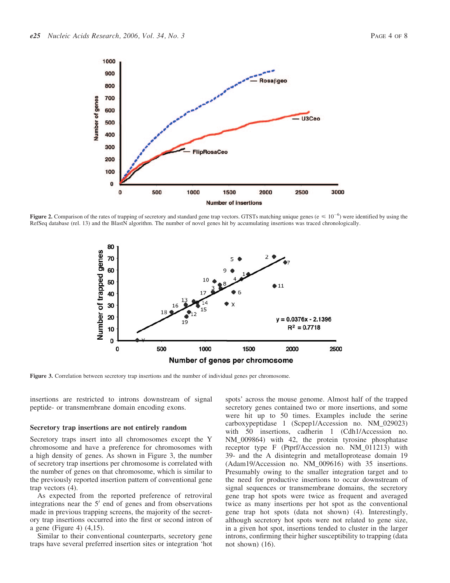

Figure 2. Comparison of the rates of trapping of secretory and standard gene trap vectors. GTSTs matching unique genes ( $e \le 10^{-6}$ ) were identified by using the RefSeq database (rel. 13) and the BlastN algorithm. The number of novel genes hit by accumulating insertions was traced chronologically.



Figure 3. Correlation between secretory trap insertions and the number of individual genes per chromosome.

insertions are restricted to introns downstream of signal peptide- or transmembrane domain encoding exons.

#### Secretory trap insertions are not entirely random

Secretory traps insert into all chromosomes except the Y chromosome and have a preference for chromosomes with a high density of genes. As shown in Figure 3, the number of secretory trap insertions per chromosome is correlated with the number of genes on that chromosome, which is similar to the previously reported insertion pattern of conventional gene trap vectors (4).

As expected from the reported preference of retroviral integrations near the  $5'$  end of genes and from observations made in previous trapping screens, the majority of the secretory trap insertions occurred into the first or second intron of a gene (Figure 4) (4,15).

Similar to their conventional counterparts, secretory gene traps have several preferred insertion sites or integration 'hot spots' across the mouse genome. Almost half of the trapped secretory genes contained two or more insertions, and some were hit up to 50 times. Examples include the serine carboxypeptidase 1 (Scpep1/Accession no. NM\_029023) with 50 insertions, cadherin 1 (Cdh1/Accession no. NM\_009864) with 42, the protein tyrosine phosphatase receptor type F (Ptprf/Accession no. NM\_011213) with 39- and the A disintegrin and metalloprotease domain 19 (Adam19/Accession no. NM\_009616) with 35 insertions. Presumably owing to the smaller integration target and to the need for productive insertions to occur downstream of signal sequences or transmembrane domains, the secretory gene trap hot spots were twice as frequent and averaged twice as many insertions per hot spot as the conventional gene trap hot spots (data not shown) (4). Interestingly, although secretory hot spots were not related to gene size, in a given hot spot, insertions tended to cluster in the larger introns, confirming their higher susceptibility to trapping (data not shown) (16).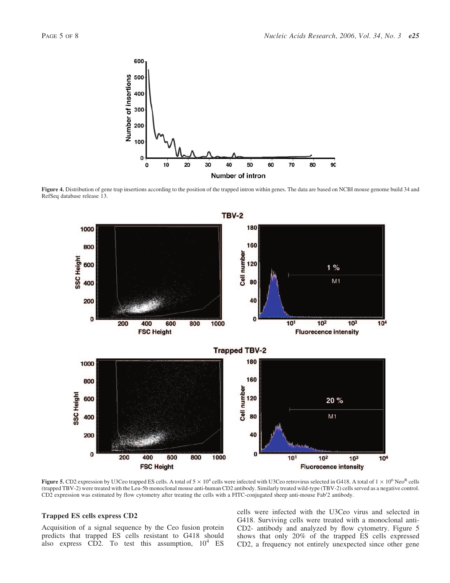

Figure 4. Distribution of gene trap insertions according to the position of the trapped intron within genes. The data are based on NCBI mouse genome build 34 and RefSeq database release 13.



**Figure 5.** CD2 expression by U3Ceo trapped ES cells. A total of  $5 \times 10^4$  cells were infected with U3Ceo retrovirus selected in G418. A total of  $1 \times 10^6$  Neo<sup>R</sup> cells (trapped TBV-2) were treated with the Leu-5b monoclonal mouse anti-human CD2 antibody. Similarly treated wild-type (TBV-2) cells served as a negative control. CD2 expression was estimated by flow cytometry after treating the cells with a FITC-conjugated sheep anti-mouse Fab'2 antibody.

## Trapped ES cells express CD2

Acquisition of a signal sequence by the Ceo fusion protein predicts that trapped ES cells resistant to G418 should also express CD2. To test this assumption,  $10^4$  ES

cells were infected with the U3Ceo virus and selected in G418. Surviving cells were treated with a monoclonal anti-CD2- antibody and analyzed by flow cytometry. Figure 5 shows that only 20% of the trapped ES cells expressed CD2, a frequency not entirely unexpected since other gene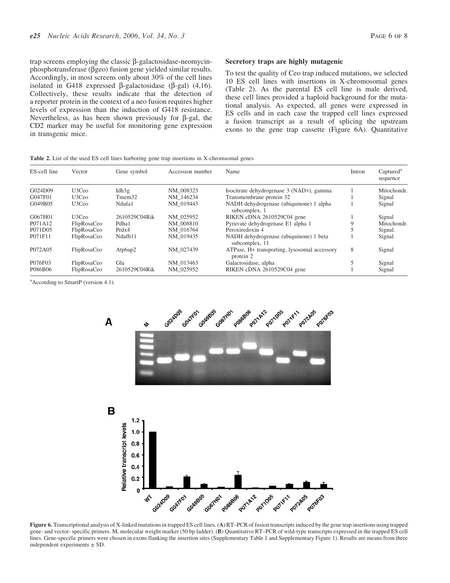trap screens employing the classic  $\beta$ -galactosidase-neomycinphosphotransferase (bgeo) fusion gene yielded similar results. Accordingly, in most screens only about 30% of the cell lines isolated in G418 expressed  $\beta$ -galactosidase ( $\beta$ -gal) (4,16). Collectively, these results indicate that the detection of a reporter protein in the context of a neo fusion requires higher levels of expression than the induction of G418 resistance. Nevertheless, as has been shown previously for  $\beta$ -gal, the CD2 marker may be useful for monitoring gene expression in transgenic mice.

### Secretory traps are highly mutagenic

To test the quality of Ceo trap induced mutations, we selected 10 ES cell lines with insertions in X-chromosomal genes (Table 2). As the parental ES cell line is male derived, these cell lines provided a haploid background for the mutational analysis. As expected, all genes were expressed in ES cells and in each case the trapped cell lines expressed a fusion transcript as a result of splicing the upstream exons to the gene trap cassette (Figure 6A). Quantitative

#### Table 2. List of the used ES cell lines harboring gene trap insertions in X-chromsomal genes

| ES-cell line | Vector            | Gene symbol        | Accession number | Name                                                      | Intron | Captured <sup>a</sup><br>sequence |
|--------------|-------------------|--------------------|------------------|-----------------------------------------------------------|--------|-----------------------------------|
| G024D09      | U3Ceo             | Idh $3g$           | NM 008323        | Isocitrate dehydrogenase 3 (NAD+), gamma                  |        | Mitochondr.                       |
| G047F01      | U3Ce <sub>0</sub> | Tmem <sub>32</sub> | NM 146234        | Transmembrane protein 32                                  |        | Signal                            |
| G049B05      | U3Ceo             | Ndufa1             | NM 019443        | NADH dehydrogenase (ubiquinone) 1 alpha<br>subcomplex, 1  |        | Signal                            |
| G067H01      | U3Ce <sub>0</sub> | 2610529C04Rik      | NM 025952        | RIKEN cDNA 2610529C04 gene                                |        | Signal                            |
| P071A12      | FlipRosaCeo       | Pdha1              | NM 008810        | Pyruvate dehydrogenase E1 alpha 1                         |        | Mitochondr.                       |
| P071D05      | FlipRosaCeo       | Prdx4              | NM 016764        | Peroxiredoxin 4                                           |        | Signal.                           |
| P071F11      | FlipRosaCeo       | Ndufb11            | NM 019435        | NADH dehydrogenase (ubiquinone) 1 beta<br>subcomplex, 11  |        | Signal                            |
| P072A05      | FlipRosaCeo       | Atp6ap2            | NM 027439        | ATPase, H+ transporting, lysosomal accessory<br>protein 2 | 8      | Signal                            |
| P076F03      | FlipRosaCeo       | Gla                | NM 013463        | Galactosidase, alpha                                      |        | Signal                            |
| P086B06      | FlipRosaCeo       | 2610529C04Rik      | NM 025952        | RIKEN cDNA 2610529C04 gene                                |        | Signal                            |

<sup>a</sup> According to SmartP (version 4.1).



Figure 6. Transcriptional analysis of X-linked mutations in trapped ES cell lines. (A) RT–PCR of fusion transcripts induced by the gene trap insertions using trapped gene- and vector- specific primers. M, molecular weight marker (50 bp ladder). (B) Quantitative RT–PCR of wild-type transcripts expressed in the trapped ES cell lines. Gene-specific primers were chosen in exons flanking the insertion sites (Supplementary Table 1 and Supplementary Figure 1). Results are means from three independent experiments ± SD.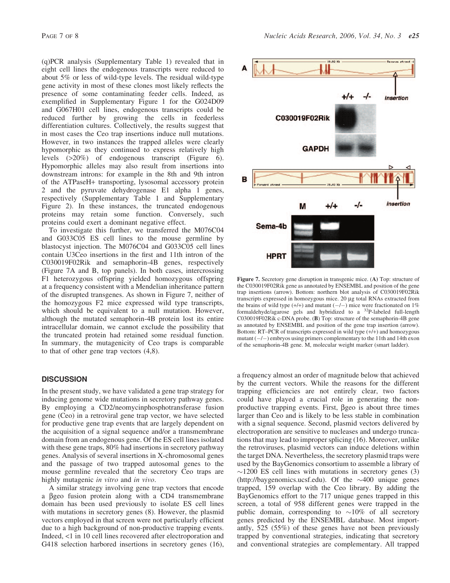(q)PCR analysis (Supplementary Table 1) revealed that in eight cell lines the endogenous transcripts were reduced to about 5% or less of wild-type levels. The residual wild-type gene activity in most of these clones most likely reflects the presence of some contaminating feeder cells. Indeed, as exemplified in Supplementary Figure 1 for the G024D09 and G067H01 cell lines, endogenous transcripts could be reduced further by growing the cells in feederless differentiation cultures. Collectively, the results suggest that in most cases the Ceo trap insertions induce null mutations. However, in two instances the trapped alleles were clearly hypomorphic as they continued to express relatively high levels (>20%) of endogenous transcript (Figure 6). Hypomorphic alleles may also result from insertions into downstream introns: for example in the 8th and 9th intron of the ATPaseH+ transporting, lysosomal accessory protein 2 and the pyruvate dehydrogenase E1 alpha 1 genes, respectively (Supplementary Table 1 and Supplementary Figure 2). In these instances, the truncated endogenous proteins may retain some function. Conversely, such proteins could exert a dominant negative effect.

To investigate this further, we transferred the M076C04 and G033C05 ES cell lines to the mouse germline by blastocyst injection. The M076C04 and G033C05 cell lines contain U3Ceo insertions in the first and 11th intron of the C030019F02Rik and semaphorin-4B genes, respectively (Figure 7A and B, top panels). In both cases, intercrossing F1 heterozygous offspring yielded homozygous offspring at a frequency consistent with a Mendelian inheritance pattern of the disrupted transgenes. As shown in Figure 7, neither of the homozygous F2 mice expressed wild type transcripts, which should be equivalent to a null mutation. However, although the mutated semaphorin-4B protein lost its entire intracellular domain, we cannot exclude the possibility that the truncated protein had retained some residual function. In summary, the mutagenicity of Ceo traps is comparable to that of other gene trap vectors (4,8).

# **DISCUSSION**

In the present study, we have validated a gene trap strategy for inducing genome wide mutations in secretory pathway genes. By employing a CD2/neomycinphosphotransferase fusion gene (Ceo) in a retroviral gene trap vector, we have selected for productive gene trap events that are largely dependent on the acquisition of a signal sequence and/or a transmembrane domain from an endogenous gene. Of the ES cell lines isolated with these gene traps, 80% had insertions in secretory pathway genes. Analysis of several insertions in X-chromosomal genes and the passage of two trapped autosomal genes to the mouse germline revealed that the secretory Ceo traps are highly mutagenic *in vitro* and *in vivo*.

A similar strategy involving gene trap vectors that encode a bgeo fusion protein along with a CD4 transmembrane domain has been used previously to isolate ES cell lines with mutations in secretory genes  $(8)$ . However, the plasmid vectors employed in that screen were not particularly efficient due to a high background of non-productive trapping events. Indeed, <1 in 10 cell lines recovered after electroporation and G418 selection harbored insertions in secretory genes (16),



Figure 7. Secretory gene disruption in transgenic mice. (A) Top: structure of the C030019F02Rik gene as annotated by ENSEMBL and position of the gene trap insertions (arrow). Bottom: northern blot analysis of C030019F02Rik transcripts expressed in homozygous mice. 20 µg total RNAs extracted from the brains of wild type  $(+/+)$  and mutant  $(-/-)$  mice were fractionated on 1% formaldehyde/agarose gels and hybridized to a 32P-labeled full-length C030019F02Rik c-DNA probe. (B) Top: structure of the semaphorin-4B gene as annotated by ENSEMBL and position of the gene trap insertion (arrow). Bottom: RT–PCR of transcripts expressed in wild type (+/+) and homozygous mutant  $(-/-)$  embryos using primers complementary to the 11th and 14th exon of the semaphorin-4B gene. M, molecular weight marker (smart ladder).

a frequency almost an order of magnitude below that achieved by the current vectors. While the reasons for the different trapping efficiencies are not entirely clear, two factors could have played a crucial role in generating the nonproductive trapping events. First,  $\beta$ geo is about three times larger than Ceo and is likely to be less stable in combination with a signal sequence. Second, plasmid vectors delivered by electroporation are sensitive to nucleases and undergo truncations that may lead to improper splicing (16). Moreover, unlike the retroviruses, plasmid vectors can induce deletions within the target DNA. Nevertheless, the secretory plasmid traps were used by the BayGenomics consortium to assemble a library of  $\sim$ 1200 ES cell lines with mutations in secretory genes (3) [\(http://baygenomics.ucsf.edu](http://baygenomics.ucsf.edu)). Of the  $\sim$ 400 unique genes trapped, 159 overlap with the Ceo library. By adding the BayGenomics effort to the 717 unique genes trapped in this screen, a total of 958 different genes were trapped in the public domain, corresponding to  $\sim 10\%$  of all secretory genes predicted by the ENSEMBL database. Most importantly, 525 (55%) of these genes have not been previously trapped by conventional strategies, indicating that secretory and conventional strategies are complementary. All trapped